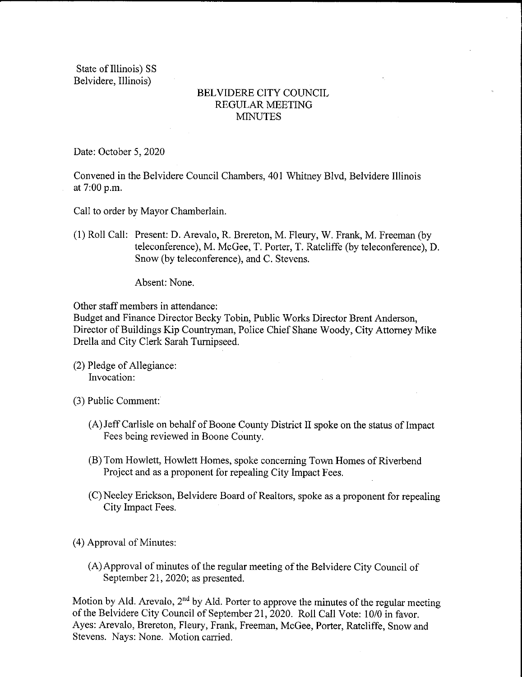State of Illinois) SS Belvidere, Illinois)

## BELVIDERE CITY COUNCIL REGULAR MEETING MINUTES

Date: October 5, 2020

Convened in the Belvidere Council Chambers, 401 Whitney Blvd, Belvidere Illinois at 7:00 p.m.

Call to order by Mayor Chamberlain.

1) Roll Call: Present: D. Arevalo, R. Brereton, M. Fleury, W. Frank, M. Freeman ( by teleconference), M. McGee, T. Porter, T. Ratcliffe (by teleconference), D. Snow( by teleconference), and C. Stevens.

Absent: None.

Other staff members in attendance:

Budget and Finance Director Becky Tobin, Public Works Director Brent Anderson, Director of Buildings Kip Countryman, Police Chief Shane Woody, City Attorney Mike Drella and City Clerk Sarah Turnipseed.

 $(2)$  Pledge of Allegiance: Invocation:

3) Public Comment:

- A) Jeff Carlisle on behalf of Boone County District II spoke on the status of Impact Fees being reviewed in Boone County.
- B) Tom Howlett, Howlett Homes, spoke concerning Town Homes of Riverbend Project and as a proponent for repealing City Impact Fees.
- C) Neeley Erickson, Belvidere Board of Realtors, spoke as a proponent for repealing City Impact Fees.
- 4) Approval of Minutes:
	- A) Approval of minutes of the regular meeting of the Belvidere City Council of September 21, 2020; as presented.

Motion by Ald. Arevalo,  $2<sup>nd</sup>$  by Ald. Porter to approve the minutes of the regular meeting of the Belvidere City Council of September 21, 2020. Roll Call Vote: 10/0 in favor. Ayes: Arevalo, Brereton, Fleury, Frank, Freeman, McGee, Porter, Ratcliffe, Snow and Stevens. Nays: None. Motion carried.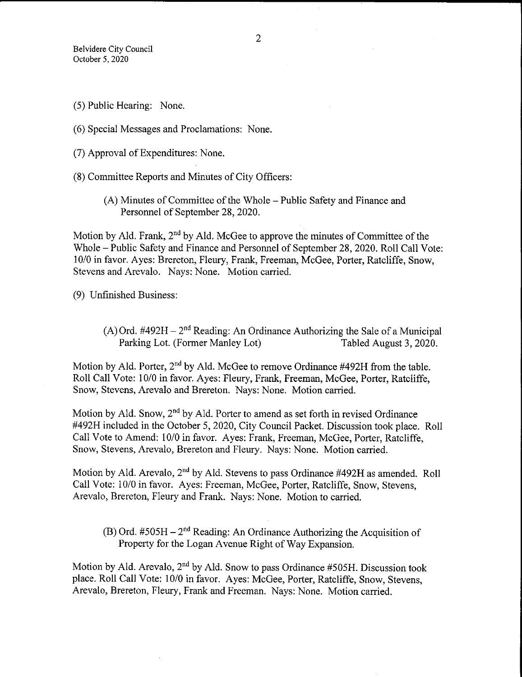- 5) Public Hearing: None.
- 6) Special Messages and Proclamations: None.
- 7) Approval of Expenditures: None.
- 8) Committee Reports and Minutes of City Officers:
	- A) Minutes of Committee of the Whole— Public Safety and Finance and Personnel of September 28, 2020.

Motion by Ald. Frank,  $2<sup>nd</sup>$  by Ald. McGee to approve the minutes of Committee of the Whole— Public Safety and Finance and Personnel of September 28, 2020, Roll Call Vote: 10/0 in favor. Ayes: Brereton, Fleury, Frank, Freeman, McGee, Porter, Ratcliffe, Snow, Stevens and Arevalo. Nays: None. Motion carried.

9) Unfinished Business:

(A) Ord.  $#492H - 2<sup>nd</sup>$  Reading: An Ordinance Authorizing the Sale of a Municipal Parking Lot. (Former Manley Lot) Tabled August 3, 2020. Parking Lot. (Former Manley Lot)

Motion by Ald. Porter,  $2<sup>nd</sup>$  by Ald. McGee to remove Ordinance #492H from the table. Roll Call Vote: 10/0 in favor. Ayes: Fleury, Frank, Freeman, McGee, Porter, Ratcliffe, Snow, Stevens, Arevalo and Brereton. Nays: None. Motion carried.

Motion by Ald. Snow,  $2<sup>nd</sup>$  by Ald. Porter to amend as set forth in revised Ordinance 492H included in the October 5, 2020, City Council Packet. Discussion took place. Roll Call Vote to Amend: 10/0 in favor. Ayes: Frank, Freeman, McGee, Porter, Ratcliffe, Snow, Stevens, Arevalo, Brereton and Fleury. Nays: None. Motion carried.

Motion by Ald. Arevalo,  $2<sup>nd</sup>$  by Ald. Stevens to pass Ordinance #492H as amended. Roll Call Vote: 10/0 in favor. Ayes: Freeman, McGee, Porter, Ratcliffe, Snow, Stevens, Arevalo, Brereton, Fleury and Frank. Nays: None. Motion to carried.

 $(B)$  Ord. #505H – 2<sup>nd</sup> Reading: An Ordinance Authorizing the Acquisition of Property for the Logan Avenue Right of Way Expansion.

Motion by Ald. Arevalo,  $2<sup>nd</sup>$  by Ald. Snow to pass Ordinance #505H. Discussion took place. Roll Call Vote: 10/0 in favor. Ayes: McGee, Porter, Ratcliffe, Snow, Stevens, Arevalo, Brereton, Fleury, Frank and Freeman. Nays: None. Motion carried.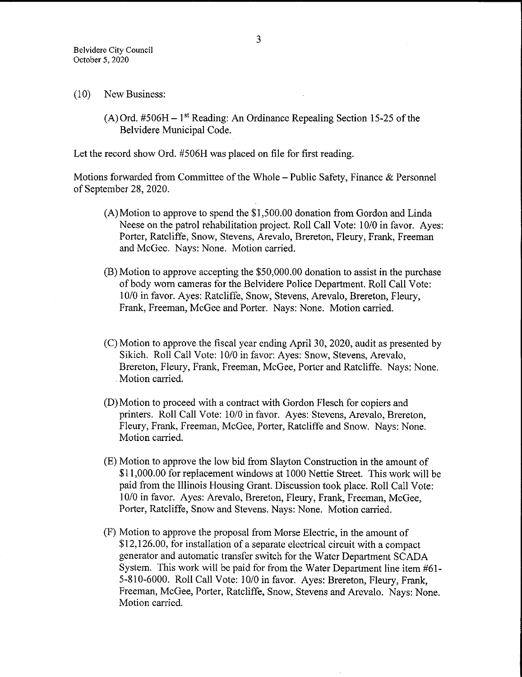- 10) New Business:
	- $(A)$  Ord. #506H 1<sup>st</sup> Reading: An Ordinance Repealing Section 15-25 of the Belvidere Municipal Code.

Let the record show Ord. #506H was placed on file for first reading.

Motions forwarded from Committee of the Whole – Public Safety, Finance  $\&$  Personnel of September 28, 2020.

- $(A)$  Motion to approve to spend the \$1,500.00 donation from Gordon and Linda Neese on the patrol rehabilitation project. Roll Call Vote: 10/0 in favor. Ayes: Porter, Ratcliffe, Snow, Stevens, Arevalo, Brereton, Fleury, Frank, Freeman and McGee. Nays: None. Motion carried.
- B) Motion to approve accepting the \$ 50, 000. 00 donation to assist in the purchase of body worn cameras for the Belvidere Police Department. Roll Call Vote: 10/0 in favor. Ayes: Ratcliffe, Snow, Stevens, Arevalo, Brereton, Fleury, Frank, Freeman, McGee and Porter. Nays: None. Motion carried.
- C) Motion to approve the fiscal year ending April 30, 2020, audit as presented by Sikich. Roll Call Vote: 10/0 in favor: Ayes: Snow, Stevens, Arevalo, Brereton, Fleury, Frank, Freeman, McGee, Porter and Ratcliffe. Nays: None. Motion carried.
- D) Motion to proceed with a contract with Gordon Flesch for copiers and printers. Roll Call Vote: 10/0 in favor. Ayes: Stevens, Arevalo, Brereton, Fleury, Frank, Freeman, McGee, Porter, Ratcliffe and Snow. Nays: None. Motion carried.
- E) Motion to approve the low bid from Slayton Construction in the amount of 11, 000. 00 for replacement windows at 1000 Nettie Street. This work will be paid from the Illinois Housing Grant. Discussion took place. Roll Call Vote: 10/0 in favor. Ayes: Arevalo, Brereton, Fleury, Frank, Freeman, McGee, Porter, Ratcliffe, Snow and Stevens. Nays: None. Motion carried.
- F) Motion to approve the proposal from Morse Electric, in the amount of \$12,126.00, for installation of a separate electrical circuit with a compact generator and automatic transfer switch for the Water Department SCADA System. This work will be paid for from the Water Department line item #61-5-810-6000. Roll Call Vote: 10/0 in favor. Ayes: Brereton, Fleury, Frank, Freeman, McGee, Porter, Ratcliffe, Snow, Stevens and Arevalo. Nays: None. Motion carried.